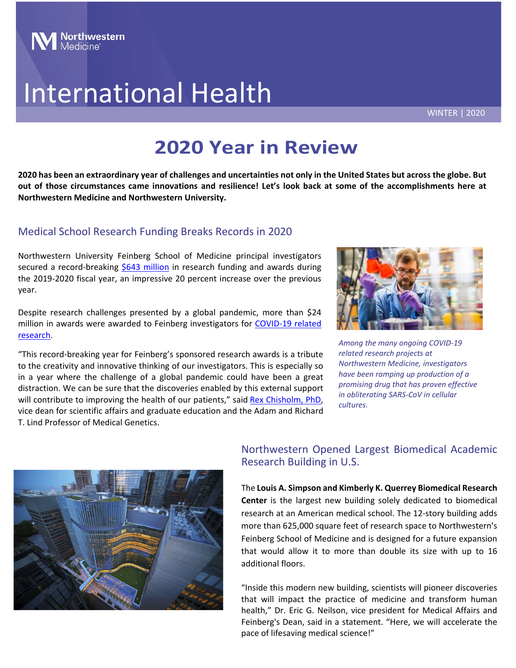# **Northwestern**<br>Medicine

# International Health

WINTER | 2020

# **2020 Year in Review**

**2020 has been an extraordinary year of challenges and uncertainties not only in the United States but across the globe. But out of those circumstances came innovations and resilience! Let's look back at some of the accomplishments here at Northwestern Medicine and Northwestern University.**

### Medical School Research Funding Breaks Records in 2020

Northwestern University Feinberg School of Medicine principal investigators secured a record-breaking [\\$643 million](https://www.feinberg.northwestern.edu/about/facts/research/index.html) in research funding and awards during the 2019-2020 fiscal year, an impressive 20 percent increase over the previous year.

Despite research challenges presented by a global pandemic, more than \$24 million in awards were awarded to Feinberg investigators for COVID-19 related [research.](https://news.northwestern.edu/coronavirus/research-recovery/) *Among the many ongoing COVID-19* 

"This record-breaking year for Feinberg's sponsored research awards is a tribute to the creativity and innovative thinking of our investigators. This is especially so in a year where the challenge of a global pandemic could have been a great distraction. We can be sure that the discoveries enabled by this external support will contribute to improving the health of our patients," said Rex [Chisholm,](https://www.feinberg.northwestern.edu/faculty-profiles/az/profile.html?xid=10466) PhD, vice dean for scientific affairs and graduate education and the Adam and Richard T. Lind Professor of Medical Genetics.



*related research projects at Northwestern Medicine, investigators have been ramping up production of a promising drug that has proven effective in obliterating SARS-CoV in cellular cultures.*



### Northwestern Opened Largest Biomedical Academic Research Building in U.S.

The **Louis A. Simpson and Kimberly K. Querrey Biomedical Research Center** is the largest new building solely dedicated to biomedical research at an American medical school. The 12-story building adds more than 625,000 square feet of research space to Northwestern's Feinberg School of Medicine and is designed for a future expansion that would allow it to more than double its size with up to 16 additional floors.

Feinberg's Dean, said in a statement. "Here, we will accelerate the "Inside this modern new building, scientists will pioneer discoveries that will impact the practice of medicine and transform human health," Dr. Eric G. Neilson, vice president for Medical Affairs and pace of lifesaving medical science!"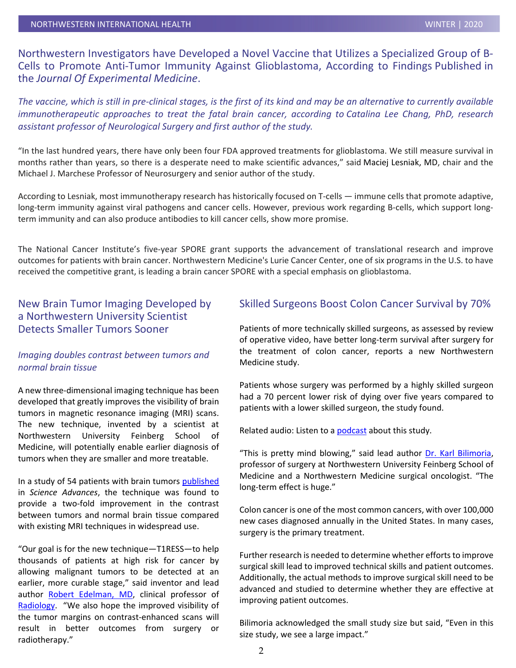Northwestern Investigators have Developed a Novel Vaccine that Utilizes a Specialized Group of B-Cells to Promote Anti-Tumor Immunity Against Glioblastoma, According to Findings Published in the *Journal Of Experimental Medicine*.

*The vaccine, which is still in pre-clinical stages, is the first of its kind and may be an alternative to currently available immunotherapeutic approaches to treat the fatal brain cancer, according to Catalina Lee Chang, PhD, research assistant professor of [Neurological Surgery](http://www.feinberg.northwestern.edu/sites/neurosurgery) and first author of the study.*

"In the last hundred years, there have only been four FDA approved treatments for glioblastoma. We still measure survival in months rather than years, so there is a desperate need to make scientific advances," said [Maciej Lesniak, MD,](https://www.feinberg.northwestern.edu/faculty-profiles/az/profile.html?xid=34049) chair and the Michael J. Marchese Professor of Neurosurgery and senior author of the study.

According to Lesniak, most immunotherapy research has historically focused on T-cells — immune cells that promote adaptive, long-term immunity against viral pathogens and cancer cells. However, previous work regarding B-cells, which support longterm immunity and can also produce antibodies to kill cancer cells, show more promise.

The National Cancer Institute's five-year SPORE grant supports the advancement of translational research and improve outcomes for patients with brain cancer. Northwestern Medicine's Lurie Cancer Center, one of six programs in the U.S. to have received the competitive grant, is leading a brain cancer SPORE with a special emphasis on glioblastoma.

#### New Brain Tumor Imaging Developed by a Northwestern University Scientist Detects Smaller Tumors Sooner

#### *Imaging doubles contrast between tumors and normal brain tissue*

A new three-dimensional imaging technique has been developed that greatly improves the visibility of brain tumors in magnetic resonance imaging (MRI) scans. The new technique, invented by a scientist at Northwestern University Feinberg School of Medicine, will potentially enable earlier diagnosis of tumors when they are smaller and more treatable.

In a study of 54 patients with brain tumors [published](https://advances.sciencemag.org/content/6/44/eabd1635) in *Science Advances*, the technique was found to provide a two-fold improvement in the contrast between tumors and normal brain tissue compared with existing MRI techniques in widespread use.

"Our goal is for the new technique—T1RESS—to help thousands of patients at high risk for cancer by allowing malignant tumors to be detected at an earlier, more curable stage," said inventor and lead author [Robert Edelman, MD,](https://www.feinberg.northwestern.edu/faculty-profiles/az/profile.html?xid=10788) clinical professor of [Radiology.](https://www.radiology.northwestern.edu/) "We also hope the improved visibility of the tumor margins on contrast-enhanced scans will result in better outcomes from surgery or radiotherapy."

#### Skilled Surgeons Boost Colon Cancer Survival by 70%

Patients of more technically skilled surgeons, as assessed by review of operative video, have better long-term survival after surgery for the treatment of colon cancer, reports a new Northwestern Medicine study.

Patients whose surgery was performed by a highly skilled surgeon had a 70 percent lower risk of dying over five years compared to patients with a lower skilled surgeon, the study found.

Related audio: Listen to a [podcast](https://oembed.libsyn.com/embed?item_id=16614563) about this study.

"This is pretty mind blowing," said lead author [Dr. Karl Bilimoria,](https://www.cancer.northwestern.edu/research/membership/profile.html?id=0f7e637dfba09f9a841547b680fba153) professor of surgery at Northwestern University Feinberg School of Medicine and a Northwestern Medicine surgical oncologist. "The long-term effect is huge."

Colon cancer is one of the most common cancers, with over 100,000 new cases diagnosed annually in the United States. In many cases, surgery is the primary treatment.

Further research is needed to determine whether efforts to improve surgical skill lead to improved technical skills and patient outcomes. Additionally, the actual methods to improve surgical skill need to be advanced and studied to determine whether they are effective at improving patient outcomes.

Bilimoria acknowledged the small study size but said, "Even in this size study, we see a large impact."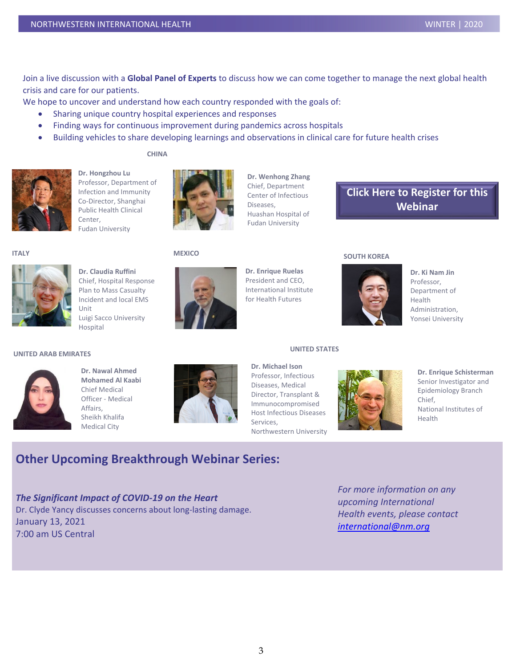Join a live discussion with a **Global Panel of Experts** to discuss how we can come together to manage the next global health crisis and care for our patients.

We hope to uncover and understand how each country responded with the goals of:

- Sharing unique country hospital experiences and responses
- Finding ways for continuous improvement during pandemics across hospitals
- Building vehicles to share developing learnings and observations in clinical care for future health crises

**CHINA**



**Dr. Hongzhou Lu** Professor, Department of Infection and Immunity Co-Director, Shanghai Public Health Clinical Center, Fudan University



**Dr. Wenhong Zhang** Chief, Department Center of Infectious Diseases, Huashan Hospital of Fudan University

## **[Click Here to Register](https://northwestern.zoom.us/webinar/register/2015955398684/WN_OE8x88n0Ro2FvpQVfDs7Kg) for this Webinar**



**Dr. Claudia Ruffini** Chief, Hospital Response Plan to Mass Casualty Incident and local EMS Unit Luigi Sacco University Hospital

#### **MEXICO**



**Dr. Enrique Ruelas** President and CEO, International Institute for Health Futures

#### **UNITED STATES**

**Dr. Michael Ison**

**Dr. Ki Nam Jin** Professor, Health

Department of Administration, Yonsei University

#### **UNITED ARAB EMIRATES**



**Dr. Nawal Ahmed Mohamed Al Kaabi** Chief Medical Officer - Medical Affairs, Sheikh Khalifa Medical City



Professor, Infectious Diseases, Medical Director, Transplant & Immunocompromised Host Infectious Diseases Services, Northwestern University



**SOUTH KOREA**

**Dr. Enrique Schisterman** Senior Investigator and Epidemiology Branch Chief, National Institutes of Health

## **Other Upcoming Breakthrough Webinar Series:**

 Dr. Clyde Yancy discusses concerns about long-lasting damage. *The Significant Impact of COVID-19 on the Heart* January 13, 2021 7:00 am US Central

*For more information on any upcoming International Health events, please contact [international@nm.org](mailto:international@nm.org)*